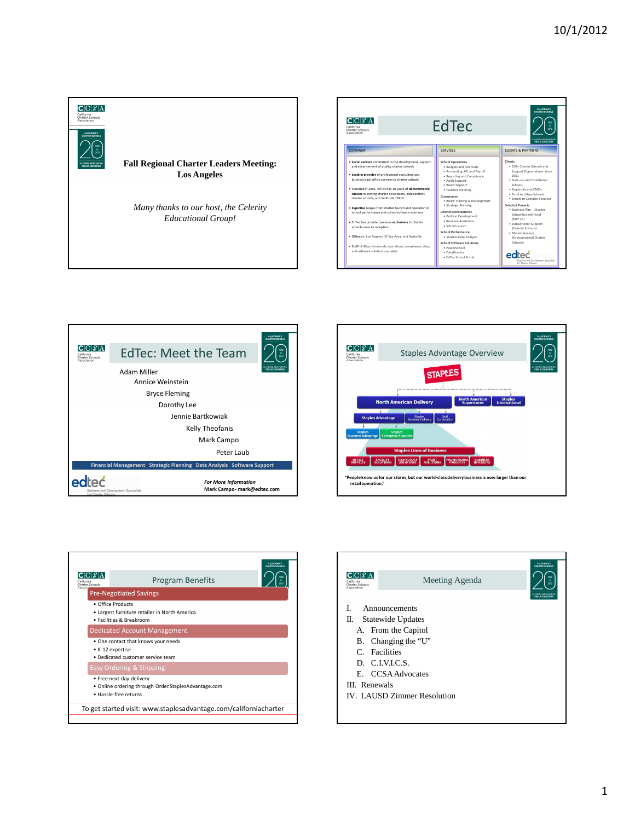

| CALIFORNIA'S<br><b>CHARTER SCHOOLS</b><br>$CC$ $RA$<br>EdTec<br>1992<br>$\mathbf{v}$<br>California<br>2012<br>Charter Schools<br>Association<br><b>DA VEADO DEIMIENTIME</b><br><b>PUBLIC FOUCATION</b> |                                                                                                                                                                                                                                                                                                                                                                                                                                                                                                                                                                                                                                                                    |  |                                                                                                                                                                                                                                                                                                                                                                                                                                                                                                                |  |                                                                                                                                                                                                                                                                                                                                                                                                                     |  |
|--------------------------------------------------------------------------------------------------------------------------------------------------------------------------------------------------------|--------------------------------------------------------------------------------------------------------------------------------------------------------------------------------------------------------------------------------------------------------------------------------------------------------------------------------------------------------------------------------------------------------------------------------------------------------------------------------------------------------------------------------------------------------------------------------------------------------------------------------------------------------------------|--|----------------------------------------------------------------------------------------------------------------------------------------------------------------------------------------------------------------------------------------------------------------------------------------------------------------------------------------------------------------------------------------------------------------------------------------------------------------------------------------------------------------|--|---------------------------------------------------------------------------------------------------------------------------------------------------------------------------------------------------------------------------------------------------------------------------------------------------------------------------------------------------------------------------------------------------------------------|--|
| <b>COMPANY</b>                                                                                                                                                                                         |                                                                                                                                                                                                                                                                                                                                                                                                                                                                                                                                                                                                                                                                    |  | <b>SERVICES</b>                                                                                                                                                                                                                                                                                                                                                                                                                                                                                                |  | <b>CLIENTS &amp; PARTNERS</b>                                                                                                                                                                                                                                                                                                                                                                                       |  |
| schools since its inception<br>and software solution specialists                                                                                                                                       | . Social venture committed to the development, support.<br>and advancement of quality charter schools<br>. Leading provider of professional consulting and<br>business back-office services to charter schools<br>· Founded in 2001. EdTec has 10 years of demonstrated<br>success in serving charter developers, independent<br>charter schools, and multi-site CMOs<br>. Expertise ranges from charter launch and operation to<br>school performance and school software solutions<br>. EdTec has provided services exclusively to charter<br>· Offices in Los Angeles, SF Bay Area, and Nashville<br>· Staff of 40 professionals, operations, compliance, data, |  | <b>School Operations</b><br>· Budgets and Financials<br>· Accounting, AP, and Payroll<br>· Reporting and Compliance<br>· Audit Support<br>· Board Support<br>· Facilities Planning<br>Governance<br>· Board Training & Development<br>· Strategic Planning<br><b>Charter Development</b><br>· Petition Development<br>· Renewal Assistance<br>· School Launch<br>School Performance<br>· Student Data Analysis<br><b>School Software Solutions</b><br>· PowerSchool<br>· DataDirector<br>· EdTec School Portal |  | Clients<br>. 250+ Charter Schools and<br>Support Organizations since<br>2001<br>· Start-ups and Established<br>Schools<br>· Single-site and CMOs<br>. Rural to Urban Schools<br>· Simple to Complex Finances<br><b>Selected Projects</b><br>· Business Plan - Charter<br>School Growth Fund<br>(KIPP LA)<br>· DataDirector Support<br>(Celerity Schools)<br>· Market Analysis<br>(Environmental Charter<br>Schools) |  |







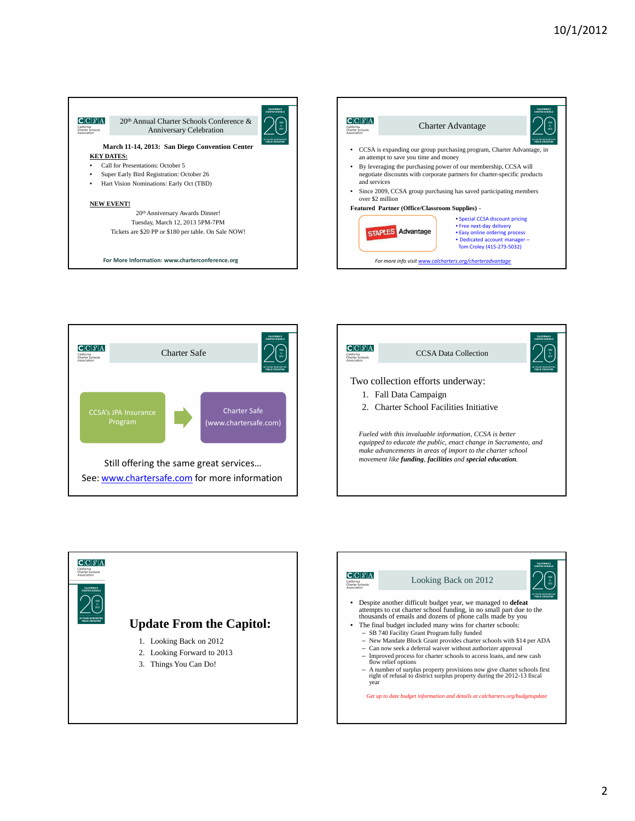







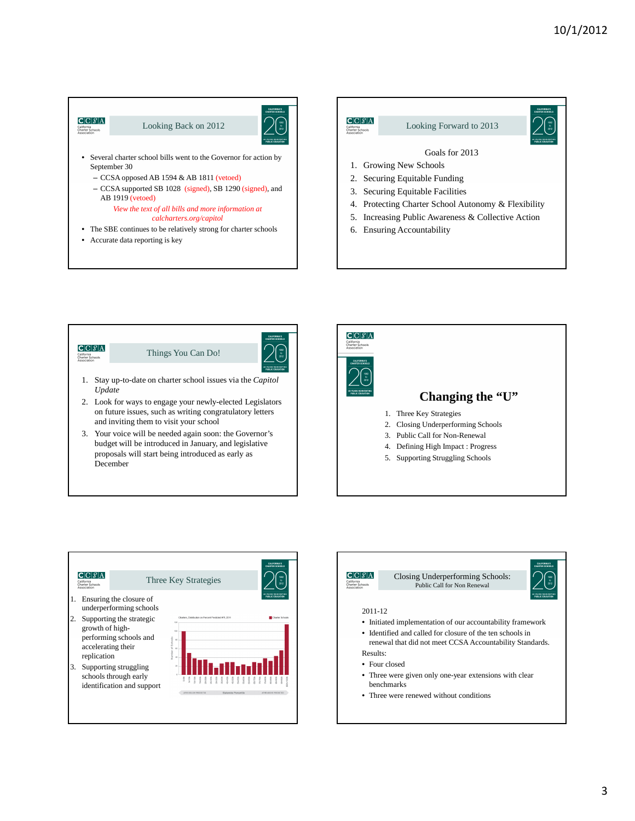

#### *View the text of all bills and more information at calcharters.org/capitol*

- The SBE continues to be relatively strong for charter schools
- Accurate data reporting is key





3. Your voice will be needed again soon: the Governor's budget will be introduced in January, and legislative proposals will start being introduced as early as December





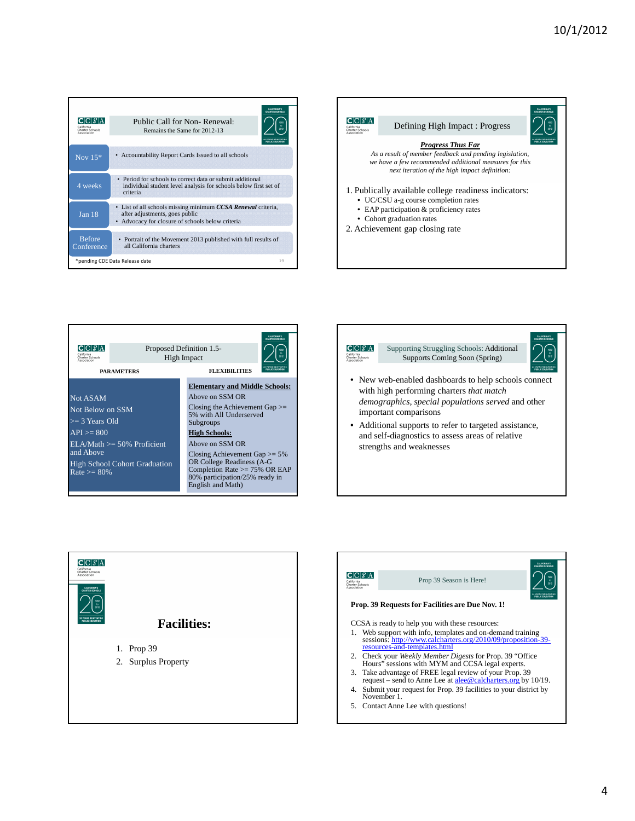| CICI $\mathcal{S}$ IA<br>California<br>Charter Schools<br>Association | <b>CALIFORNIA'S</b><br><b>CHARTER SCHOOLS</b><br>Public Call for Non-Renewal:<br>$\mathbf{b}$<br>2012<br>Remains the Same for 2012-13<br><b>IRLIC FOUCATIO</b> |
|-----------------------------------------------------------------------|----------------------------------------------------------------------------------------------------------------------------------------------------------------|
| Nov $15*$                                                             | • Accountability Report Cards Issued to all schools                                                                                                            |
| 4 weeks                                                               | • Period for schools to correct data or submit additional<br>individual student level analysis for schools below first set of<br>criteria                      |
| Jan <sub>18</sub>                                                     | • List of all schools missing minimum CCSA Renewal criteria,<br>after adjustments, goes public<br>• Advocacy for closure of schools below criteria             |
| <b>Before</b><br>Conference                                           | • Portrait of the Movement 2013 published with full results of<br>all California charters                                                                      |
|                                                                       | *pending CDE Data Release date<br>19                                                                                                                           |









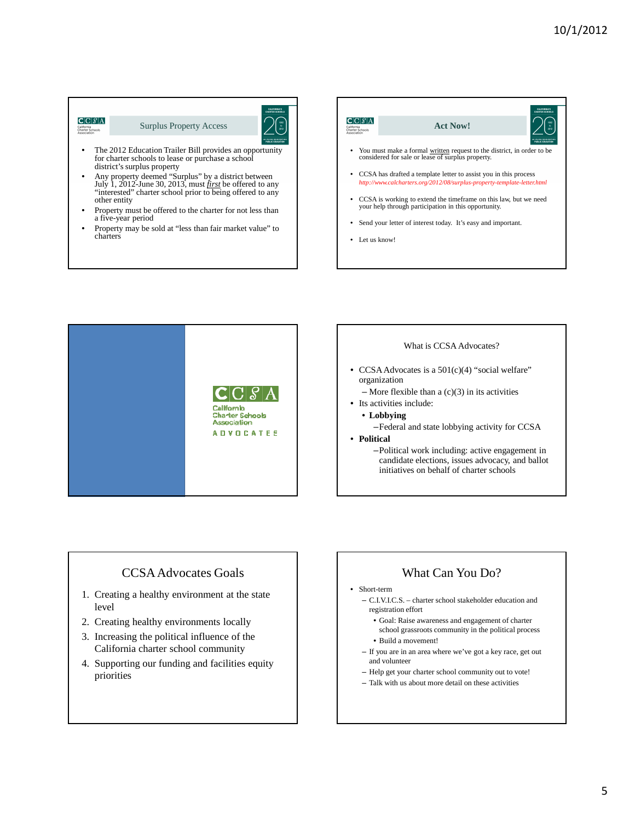#### $C|C|\mathcal{S}|A$ Surplus Property Access California<br>Charter Scho The 2012 Education Trailer Bill provides an opportunity

- for charter schools to lease or purchase a school district's surplus property
- Any property deemed "Surplus" by a district between July 1, 2012-June 30, 2013, must *first* be offered to any "interested" charter school prior to being offered to any other entity
- Property must be offered to the charter for not less than a five-year period
- Property may be sold at "less than fair market value" to charters





### What is CCSA Advocates?

- CCSA Advocates is a 501(c)(4) "social welfare" organization
	- $-$  More flexible than a  $(c)(3)$  in its activities
- Its activities include:
- **Lobbying**
- –Federal and state lobbying activity for CCSA
- **Political**
	- –Political work including: active engagement in candidate elections, issues advocacy, and ballot initiatives on behalf of charter schools

## CCSA Advocates Goals

- 1. Creating a healthy environment at the state level
- 2. Creating healthy environments locally
- 3. Increasing the political influence of the California charter school community
- 4. Supporting our funding and facilities equity priorities

## What Can You Do?

#### • Short-term

- C.I.V.I.C.S. charter school stakeholder education and registration effort
	- Goal: Raise awareness and engagement of charter school grassroots community in the political process
	- Build a movement!
- If you are in an area where we've got a key race, get out and volunteer
- Help get your charter school community out to vote!
- Talk with us about more detail on these activities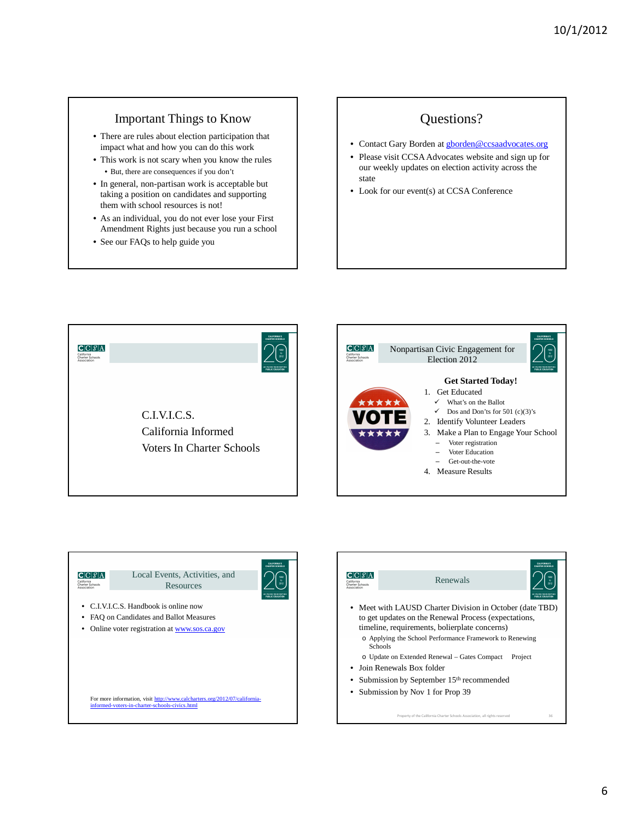### Important Things to Know

- There are rules about election participation that impact what and how you can do this work
- This work is not scary when you know the rules • But, there are consequences if you don't
- In general, non-partisan work is acceptable but taking a position on candidates and supporting them with school resources is not!
- As an individual, you do not ever lose your First Amendment Rights just because you run a school
- See our FAQs to help guide you

# Questions?

- Contact Gary Borden at **gborden@ccsaadvocates.org**
- Please visit CCSA Advocates website and sign up for our weekly updates on election activity across the state
- Look for our event(s) at CCSA Conference





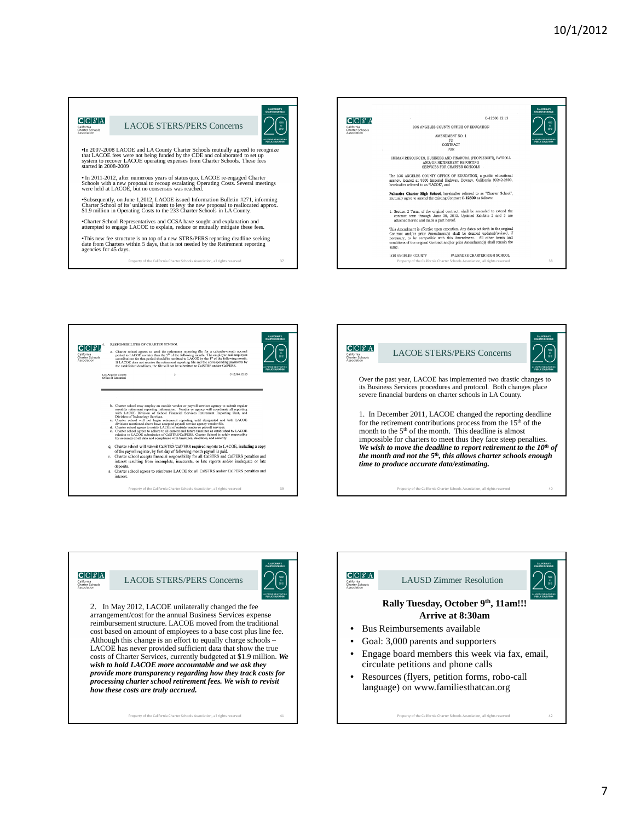